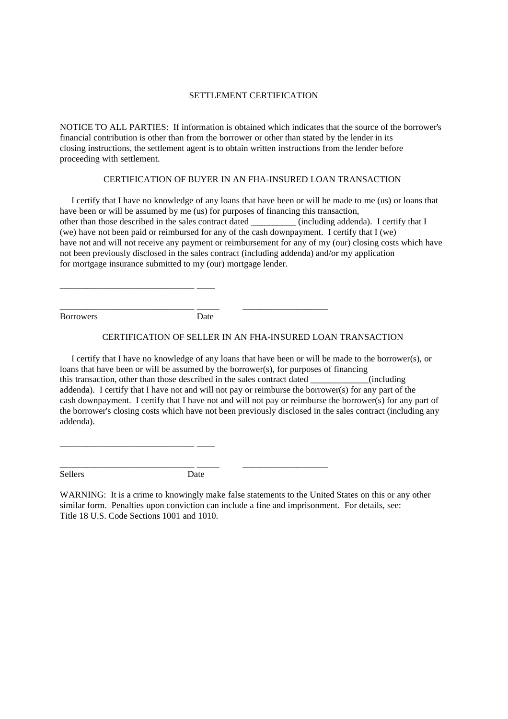## SETTLEMENT CERTIFICATION

NOTICE TO ALL PARTIES: If information is obtained which indicates that the source of the borrower's financial contribution is other than from the borrower or other than stated by the lender in its closing instructions, the settlement agent is to obtain written instructions from the lender before proceeding with settlement.

## CERTIFICATION OF BUYER IN AN FHA-INSURED LOAN TRANSACTION

I certify that I have no knowledge of any loans that have been or will be made to me (us) or loans that have been or will be assumed by me (us) for purposes of financing this transaction, other than those described in the sales contract dated \_\_\_\_\_\_\_\_\_\_\_ (including addenda). I certify that I (we) have not been paid or reimbursed for any of the cash downpayment. I certify that  $I$  (we) have not and will not receive any payment or reimbursement for any of my (our) closing costs which have not been previously disclosed in the sales contract (including addenda) and/or my application for mortgage insurance submitted to my (our) mortgage lender.

**Borrowers** 

Date

## CERTIFICATION OF SELLER IN AN FHA-INSURED LOAN TRANSACTION

I certify that I have no knowledge of any loans that have been or will be made to the borrower(s), or loans that have been or will be assumed by the borrower(s), for purposes of financing this transaction, other than those described in the sales contract dated \_\_\_\_\_\_\_  $\frac{1}{2}$  (including addenda). I certify that I have not and will not pay or reimburse the borrower(s) for any part of the cash downpayment. I certify that I have not and will not pay or reimburse the borrower(s) for any part of the borrower's closing costs which have not been previously disclosed in the sales contract (including any addenda).

Sellers

Date

WARNING: It is a crime to knowingly make false statements to the United States on this or any other similar form. Penalties upon conviction can include a fine and imprisonment. For details, see: Title 18 U.S. Code Sections 1001 and 1010.